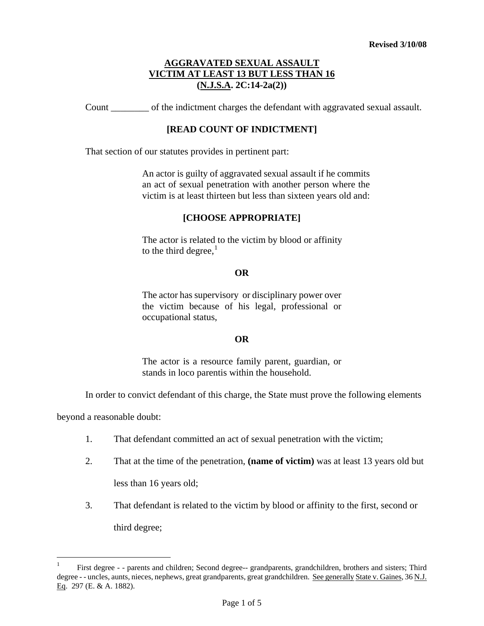Count \_\_\_\_\_\_\_\_ of the indictment charges the defendant with aggravated sexual assault.

## **[READ COUNT OF INDICTMENT]**

That section of our statutes provides in pertinent part:

An actor is guilty of aggravated sexual assault if he commits an act of sexual penetration with another person where the victim is at least thirteen but less than sixteen years old and:

## **[CHOOSE APPROPRIATE]**

The actor is related to the victim by blood or affinity to the third degree, $<sup>1</sup>$  $<sup>1</sup>$  $<sup>1</sup>$ </sup>

#### **OR**

The actor has supervisory or disciplinary power over the victim because of his legal, professional or occupational status,

### **OR**

The actor is a resource family parent, guardian, or stands in loco parentis within the household.

In order to convict defendant of this charge, the State must prove the following elements

beyond a reasonable doubt:

<span id="page-0-0"></span>i<br>Li

- 1. That defendant committed an act of sexual penetration with the victim;
- 2. That at the time of the penetration, **(name of victim)** was at least 13 years old but less than 16 years old;
- 3. That defendant is related to the victim by blood or affinity to the first, second or third degree;

<sup>1</sup> First degree - - parents and children; Second degree-- grandparents, grandchildren, brothers and sisters; Third degree - - uncles, aunts, nieces, nephews, great grandparents, great grandchildren. See generally State v. Gaines, 36 N.J. Eq. 297 (E. & A. 1882).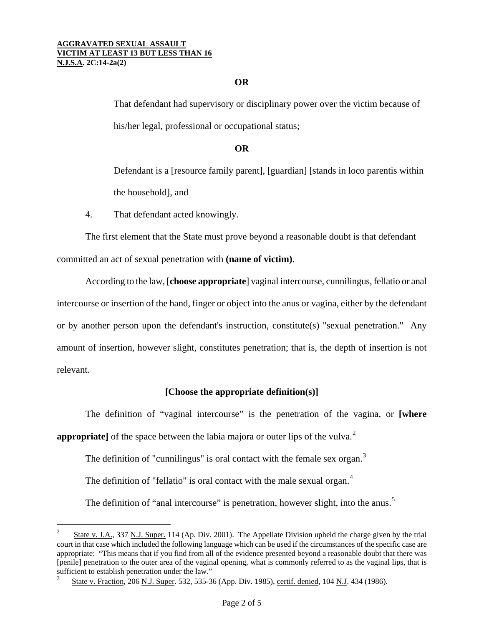## **OR**

That defendant had supervisory or disciplinary power over the victim because of his/her legal, professional or occupational status;

### **OR**

Defendant is a [resource family parent], [guardian] [stands in loco parentis within the household], and

4. That defendant acted knowingly.

 $\overline{\phantom{0}}$ 

The first element that the State must prove beyond a reasonable doubt is that defendant committed an act of sexual penetration with **(name of victim)**.

According to the law, [**choose appropriate**] vaginal intercourse, cunnilingus, fellatio or anal intercourse or insertion of the hand, finger or object into the anus or vagina, either by the defendant or by another person upon the defendant's instruction, constitute(s) "sexual penetration." Any amount of insertion, however slight, constitutes penetration; that is, the depth of insertion is not relevant.

## **[Choose the appropriate definition(s)]**

The definition of "vaginal intercourse" is the penetration of the vagina, or **[where appropriate**] of the space between the labia majora or outer lips of the vulva.<sup>[2](#page-0-0)</sup>

The definition of "cunnilingus" is oral contact with the female sex organ. $3$ 

The definition of "fellatio" is oral contact with the male sexual organ.<sup>[4](#page-1-2)</sup>

The definition of "anal intercourse" is penetration, however slight, into the anus.<sup>[5](#page-1-3)</sup>

State v. J.A., 337 N.J. Super. 114 (Ap. Div. 2001). The Appellate Division upheld the charge given by the trial court in that case which included the following language which can be used if the circumstances of the specific case are appropriate: "This means that if you find from all of the evidence presented beyond a reasonable doubt that there was [penile] penetration to the outer area of the vaginal opening, what is commonly referred to as the vaginal lips, that is sufficient to establish penetration under the law."

<span id="page-1-4"></span><span id="page-1-3"></span><span id="page-1-2"></span><span id="page-1-1"></span><span id="page-1-0"></span><sup>3</sup> State v. Fraction, 206 N.J. Super. 532, 535-36 (App. Div. 1985), certif. denied, 104 N.J. 434 (1986).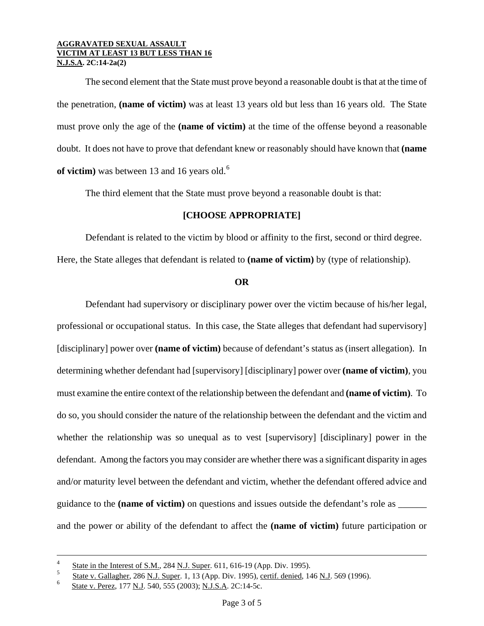The second element that the State must prove beyond a reasonable doubt is that at the time of the penetration, **(name of victim)** was at least 13 years old but less than 16 years old. The State must prove only the age of the **(name of victim)** at the time of the offense beyond a reasonable doubt. It does not have to prove that defendant knew or reasonably should have known that **(name of victim**) was between 13 and 1[6](#page-1-4) years old.<sup>6</sup>

The third element that the State must prove beyond a reasonable doubt is that:

# **[CHOOSE APPROPRIATE]**

Defendant is related to the victim by blood or affinity to the first, second or third degree. Here, the State alleges that defendant is related to **(name of victim)** by (type of relationship).

#### **OR**

Defendant had supervisory or disciplinary power over the victim because of his/her legal, professional or occupational status. In this case, the State alleges that defendant had supervisory] [disciplinary] power over **(name of victim)** because of defendant's status as (insert allegation). In determining whether defendant had [supervisory] [disciplinary] power over **(name of victim)**, you must examine the entire context of the relationship between the defendant and **(name of victim)**. To do so, you should consider the nature of the relationship between the defendant and the victim and whether the relationship was so unequal as to vest [supervisory] [disciplinary] power in the defendant. Among the factors you may consider are whether there was a significant disparity in ages and/or maturity level between the defendant and victim, whether the defendant offered advice and guidance to the **(name of victim)** on questions and issues outside the defendant's role as \_\_\_\_\_\_ and the power or ability of the defendant to affect the **(name of victim)** future participation or

<span id="page-2-0"></span>i

<sup>4</sup> State in the Interest of S.M., 284 N.J. Super. 611, 616-19 (App. Div. 1995).

<sup>5</sup>  $\frac{5}{100}$  State v. Gallagher, 286 N.J. Super. 1, 13 (App. Div. 1995), certif. denied, 146 N.J. 569 (1996).

<sup>6</sup> State v. Perez, 177 N.J. 540, 555 (2003); N.J.S.A. 2C:14-5c.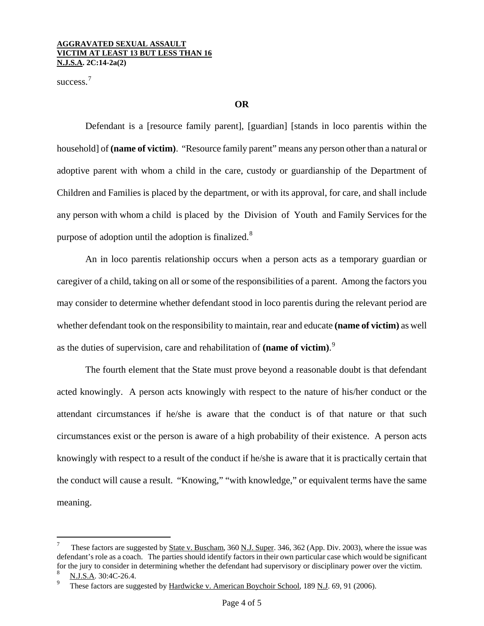success.<sup>[7](#page-2-0)</sup>

## **OR**

Defendant is a [resource family parent], [guardian] [stands in loco parentis within the household] of **(name of victim)**. "Resource family parent" means any person other than a natural or adoptive parent with whom a child in the care, custody or guardianship of the Department of Children and Families is placed by the department, or with its approval, for care, and shall include any person with whom a child is placed by the Division of Youth and Family Services for the purpose of adoption until the adoption is finalized.<sup>[8](#page-3-0)</sup>

An in loco parentis relationship occurs when a person acts as a temporary guardian or caregiver of a child, taking on all or some of the responsibilities of a parent. Among the factors you may consider to determine whether defendant stood in loco parentis during the relevant period are whether defendant took on the responsibility to maintain, rear and educate **(name of victim)** as well as the duties of supervision, care and rehabilitation of **(name of victim)**. [9](#page-3-1)

The fourth element that the State must prove beyond a reasonable doubt is that defendant acted knowingly. A person acts knowingly with respect to the nature of his/her conduct or the attendant circumstances if he/she is aware that the conduct is of that nature or that such circumstances exist or the person is aware of a high probability of their existence. A person acts knowingly with respect to a result of the conduct if he/she is aware that it is practically certain that the conduct will cause a result. "Knowing," "with knowledge," or equivalent terms have the same meaning.

i<br>Li

These factors are suggested by State v. Buscham, 360 N.J. Super. 346, 362 (App. Div. 2003), where the issue was defendant's role as a coach. The parties should identify factors in their own particular case which would be significant for the jury to consider in determining whether the defendant had supervisory or disciplinary power over the victim.

<span id="page-3-0"></span><sup>8</sup> N.J.S.A. 30:4C-26.4.

<span id="page-3-1"></span><sup>9</sup> These factors are suggested by Hardwicke v. American Boychoir School, 189 N.J. 69, 91 (2006).